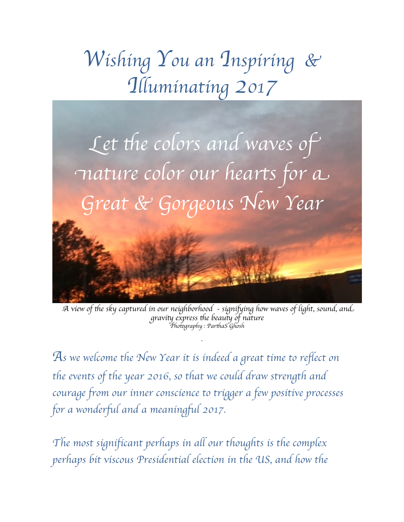## *Wishing You an Inspiring & Illuminating 2017*



A *view of* t*e sky captured in our neighborhood - signi*f*ing how waves of light, sound, an*d gravity express the beauty of nature P*ho*t*graphy : Par*t*aS Ghosh*

*.*

*As we welcome the New Year it is indeed a great time to reflect on the events of the year 2016, so that we could draw strength and courage from our inner conscience to trigger a few positive processes for a wonderful and a meaningful 2017.*

*The most significant perhaps in all our thoughts is the complex perhaps bit viscous Presidential election in the US, and how the*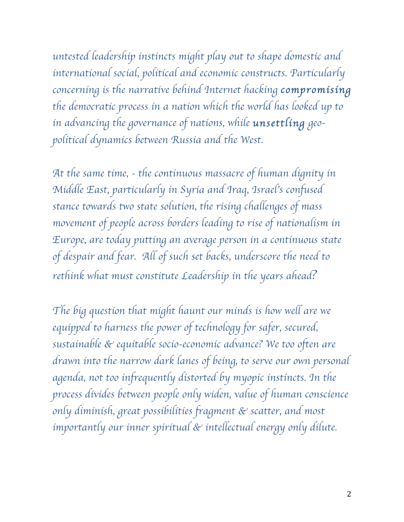*untested leadership instincts might play out to shape domestic and international social, political and economic constructs. Particularly concerning is the narrative behind Internet hacking compromising the democratic process in a nation which the world has looked up to in advancing the governance of nations, while unsettling geopolitical dynamics between Russia and the West.*

*At the same time, - the continuous massacre of human dignity in Middle East, particularly in Syria and Iraq, Israel*'*s confused stance towards two state solution, the rising challenges of mass movement of people across borders leading to rise of nationalism in Europe, are today putting an average person in a continuous state of despair and fear. All of such set backs, underscore the need to rethink what must constitute Leadership in the years ahead?*

*The big question that might haunt our minds is how well are we equipped to harness the power of technology for safer, secured, sustainable & equitable socio-economic advance? We too often are drawn into the narrow dark lanes of being, to serve our own personal agenda, not too infrequently distorted by myopic instincts. In the process divides between people only widen, value of human conscience only diminish, great possibilities fragment & scatter, and most importantly our inner spiritual & intellectual energy only dilute.*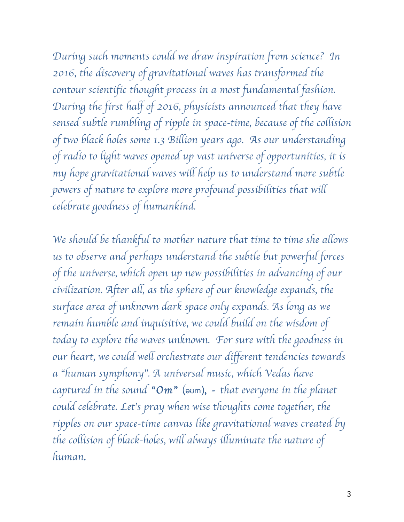*During such moments could we draw inspiration from science? In 2016, the discovery of gravitational waves has transformed the contour scientific thought process in a most fundamental fashion. During the first half of 2016, physicists announced that they have sensed subtle rumbling of ripple in space-time, because of the collision of two black holes some 1.3 Billion years ago. As our understanding of radio to light waves opened up vast universe of opportunities, it is my hope gravitational waves will help us to understand more subtle powers of nature to explore more profound possibilities that will celebrate goodness of humankind.* 

*We should be thankful to mother nature that time to time she allows us to observe and perhaps understand the subtle but powerful forces of the universe, which open up new possibilities in advancing of our civilization. After all, as the sphere of our knowledge expands, the surface area of unknown dark space only expands. As long as we remain humble and inquisitive, we could build on the wisdom of today to explore the waves unknown. For sure with the goodness in our heart, we could well orchestrate our different tendencies towards a* "*human symphony*"*. A universal music, which Vedas have captured in the sound* "*Om*"(əʊm)*, - that everyone in the planet could celebrate. Let*'*s pray when wise thoughts come together, the ripples on our space-time canvas like gravitational waves created by the collision of black-holes, will always illuminate the nature of human.*